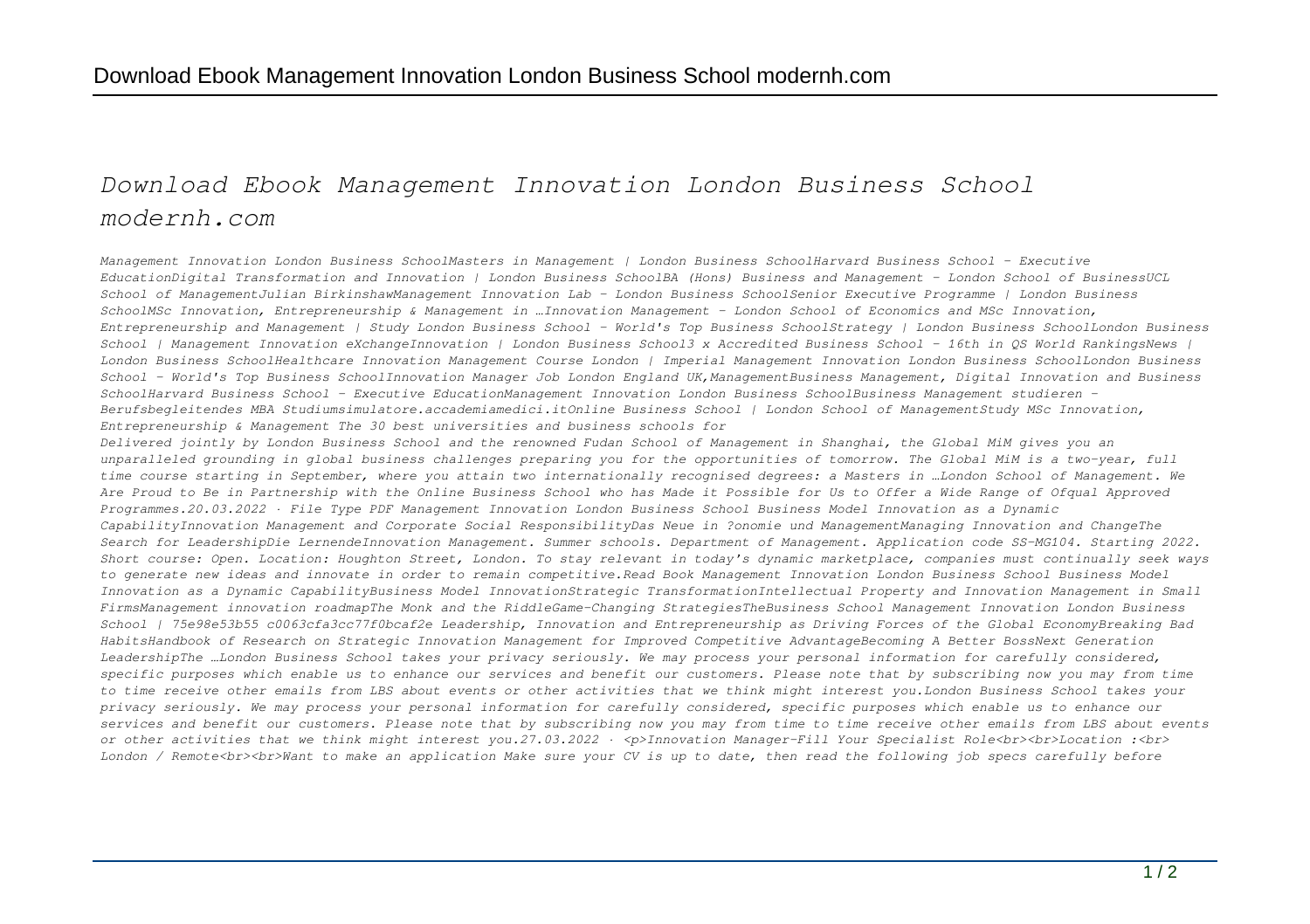## *Download Ebook Management Innovation London Business School modernh.com*

*Management Innovation London Business SchoolMasters in Management | London Business SchoolHarvard Business School - Executive EducationDigital Transformation and Innovation | London Business SchoolBA (Hons) Business and Management - London School of BusinessUCL School of ManagementJulian BirkinshawManagement Innovation Lab - London Business SchoolSenior Executive Programme | London Business SchoolMSc Innovation, Entrepreneurship & Management in …Innovation Management - London School of Economics and MSc Innovation, Entrepreneurship and Management | Study London Business School - World's Top Business SchoolStrategy | London Business SchoolLondon Business School | Management Innovation eXchangeInnovation | London Business School3 x Accredited Business School - 16th in QS World RankingsNews | London Business SchoolHealthcare Innovation Management Course London | Imperial Management Innovation London Business SchoolLondon Business School - World's Top Business SchoolInnovation Manager Job London England UK,ManagementBusiness Management, Digital Innovation and Business SchoolHarvard Business School - Executive EducationManagement Innovation London Business SchoolBusiness Management studieren - Berufsbegleitendes MBA Studiumsimulatore.accademiamedici.itOnline Business School | London School of ManagementStudy MSc Innovation, Entrepreneurship & Management The 30 best universities and business schools for* 

*Delivered jointly by London Business School and the renowned Fudan School of Management in Shanghai, the Global MiM gives you an unparalleled grounding in global business challenges preparing you for the opportunities of tomorrow. The Global MiM is a two-year, full time course starting in September, where you attain two internationally recognised degrees: a Masters in …London School of Management. We Are Proud to Be in Partnership with the Online Business School who has Made it Possible for Us to Offer a Wide Range of Ofqual Approved Programmes.20.03.2022 · File Type PDF Management Innovation London Business School Business Model Innovation as a Dynamic CapabilityInnovation Management and Corporate Social ResponsibilityDas Neue in ?onomie und ManagementManaging Innovation and ChangeThe Search for LeadershipDie LernendeInnovation Management. Summer schools. Department of Management. Application code SS-MG104. Starting 2022. Short course: Open. Location: Houghton Street, London. To stay relevant in today's dynamic marketplace, companies must continually seek ways to generate new ideas and innovate in order to remain competitive.Read Book Management Innovation London Business School Business Model Innovation as a Dynamic CapabilityBusiness Model InnovationStrategic TransformationIntellectual Property and Innovation Management in Small FirmsManagement innovation roadmapThe Monk and the RiddleGame-Changing StrategiesTheBusiness School Management Innovation London Business School | 75e98e53b55 c0063cfa3cc77f0bcaf2e Leadership, Innovation and Entrepreneurship as Driving Forces of the Global EconomyBreaking Bad HabitsHandbook of Research on Strategic Innovation Management for Improved Competitive AdvantageBecoming A Better BossNext Generation LeadershipThe …London Business School takes your privacy seriously. We may process your personal information for carefully considered, specific purposes which enable us to enhance our services and benefit our customers. Please note that by subscribing now you may from time to time receive other emails from LBS about events or other activities that we think might interest you.London Business School takes your privacy seriously. We may process your personal information for carefully considered, specific purposes which enable us to enhance our services and benefit our customers. Please note that by subscribing now you may from time to time receive other emails from LBS about events or other activities that we think might interest you.27.03.2022 · <p>Innovation Manager-Fill Your Specialist Role<br><br>Location :<br> London / Remote<br><br>Want to make an application Make sure your CV is up to date, then read the following job specs carefully before*